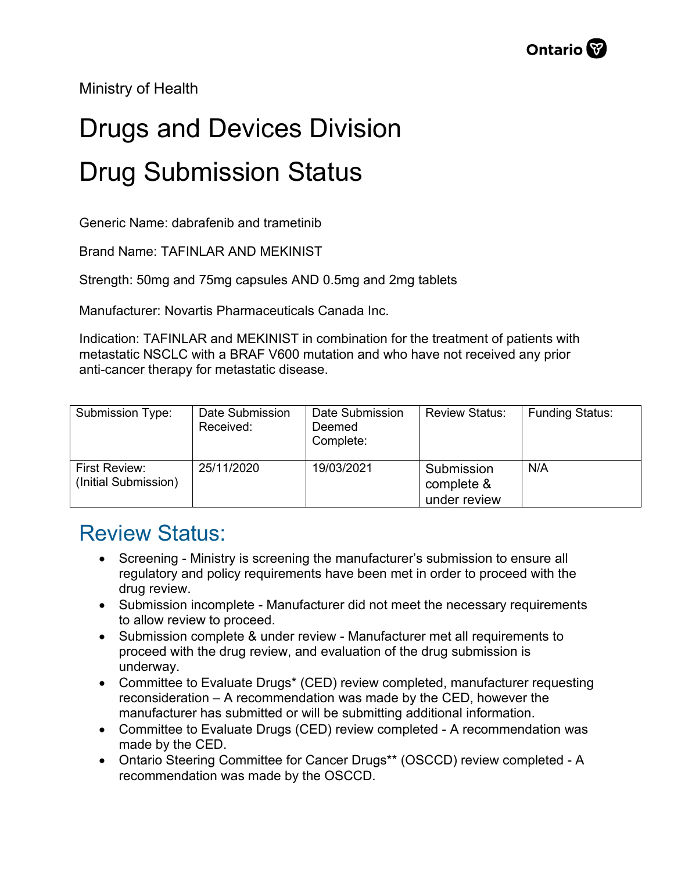Ministry of Health

## Drugs and Devices Division Drug Submission Status

Generic Name: dabrafenib and trametinib

Brand Name: TAFINLAR AND MEKINIST

Strength: 50mg and 75mg capsules AND 0.5mg and 2mg tablets

Manufacturer: Novartis Pharmaceuticals Canada Inc.

Indication: TAFINLAR and MEKINIST in combination for the treatment of patients with metastatic NSCLC with a BRAF V600 mutation and who have not received any prior anti-cancer therapy for metastatic disease.

| Submission Type:                      | Date Submission<br>Received: | Date Submission<br>Deemed<br>Complete: | <b>Review Status:</b>                    | <b>Funding Status:</b> |
|---------------------------------------|------------------------------|----------------------------------------|------------------------------------------|------------------------|
| First Review:<br>(Initial Submission) | 25/11/2020                   | 19/03/2021                             | Submission<br>complete &<br>under review | N/A                    |

## Review Status:

- Screening Ministry is screening the manufacturer's submission to ensure all regulatory and policy requirements have been met in order to proceed with the drug review.
- Submission incomplete Manufacturer did not meet the necessary requirements to allow review to proceed.
- Submission complete & under review Manufacturer met all requirements to proceed with the drug review, and evaluation of the drug submission is underway.
- Committee to Evaluate Drugs\* (CED) review completed, manufacturer requesting reconsideration – A recommendation was made by the CED, however the manufacturer has submitted or will be submitting additional information.
- Committee to Evaluate Drugs (CED) review completed A recommendation was made by the CED.
- Ontario Steering Committee for Cancer Drugs\*\* (OSCCD) review completed A recommendation was made by the OSCCD.